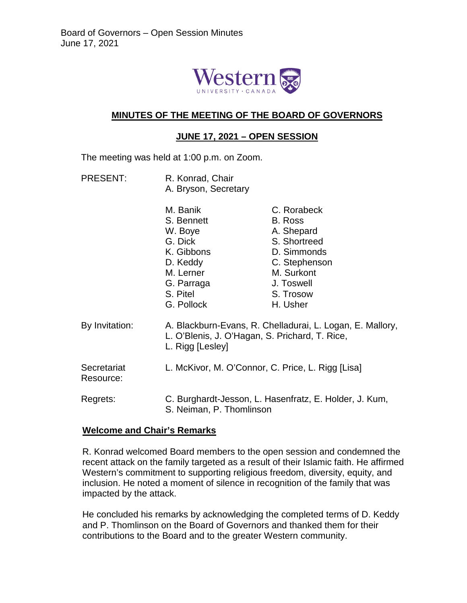

## **MINUTES OF THE MEETING OF THE BOARD OF GOVERNORS**

# **JUNE 17, 2021 – OPEN SESSION**

The meeting was held at 1:00 p.m. on Zoom.

- PRESENT: R. Konrad, Chair
	- A. Bryson, Secretary

|                          | M. Banik<br>S. Bennett<br>W. Boye<br>G. Dick<br>K. Gibbons<br>D. Keddy<br>M. Lerner                                             | C. Rorabeck<br>B. Ross<br>A. Shepard<br>S. Shortreed<br>D. Simmonds<br>C. Stephenson<br>M. Surkont |
|--------------------------|---------------------------------------------------------------------------------------------------------------------------------|----------------------------------------------------------------------------------------------------|
|                          | G. Parraga<br>S. Pitel<br>G. Pollock                                                                                            | J. Toswell<br>S. Trosow<br>H. Usher                                                                |
| By Invitation:           | A. Blackburn-Evans, R. Chelladurai, L. Logan, E. Mallory,<br>L. O'Blenis, J. O'Hagan, S. Prichard, T. Rice,<br>L. Rigg [Lesley] |                                                                                                    |
| Secretariat<br>Resource: | L. McKivor, M. O'Connor, C. Price, L. Rigg [Lisa]                                                                               |                                                                                                    |
| Regrets:                 | C. Burghardt-Jesson, L. Hasenfratz, E. Holder, J. Kum,                                                                          |                                                                                                    |

# **Welcome and Chair's Remarks**

R. Konrad welcomed Board members to the open session and condemned the recent attack on the family targeted as a result of their Islamic faith. He affirmed Western's commitment to supporting religious freedom, diversity, equity, and inclusion. He noted a moment of silence in recognition of the family that was impacted by the attack.

S. Neiman, P. Thomlinson

He concluded his remarks by acknowledging the completed terms of D. Keddy and P. Thomlinson on the Board of Governors and thanked them for their contributions to the Board and to the greater Western community.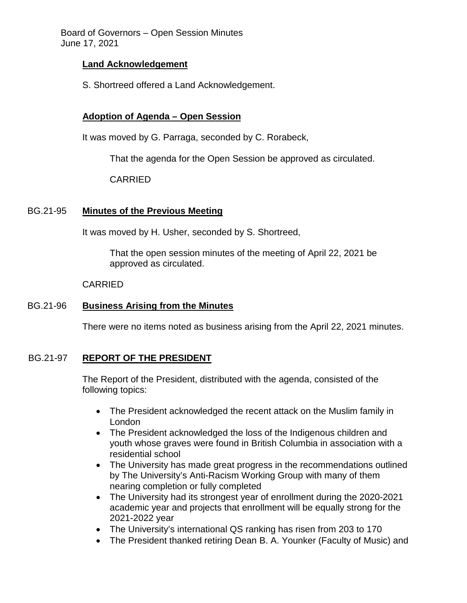## **Land Acknowledgement**

S. Shortreed offered a Land Acknowledgement.

## **Adoption of Agenda – Open Session**

It was moved by G. Parraga, seconded by C. Rorabeck,

That the agenda for the Open Session be approved as circulated.

CARRIED

## BG.21-95 **Minutes of the Previous Meeting**

It was moved by H. Usher, seconded by S. Shortreed,

That the open session minutes of the meeting of April 22, 2021 be approved as circulated.

#### CARRIED

## BG.21-96 **Business Arising from the Minutes**

There were no items noted as business arising from the April 22, 2021 minutes.

# BG.21-97 **REPORT OF THE PRESIDENT**

The Report of the President, distributed with the agenda, consisted of the following topics:

- The President acknowledged the recent attack on the Muslim family in London
- The President acknowledged the loss of the Indigenous children and youth whose graves were found in British Columbia in association with a residential school
- The University has made great progress in the recommendations outlined by The University's Anti-Racism Working Group with many of them nearing completion or fully completed
- The University had its strongest year of enrollment during the 2020-2021 academic year and projects that enrollment will be equally strong for the 2021-2022 year
- The University's international QS ranking has risen from 203 to 170
- The President thanked retiring Dean B. A. Younker (Faculty of Music) and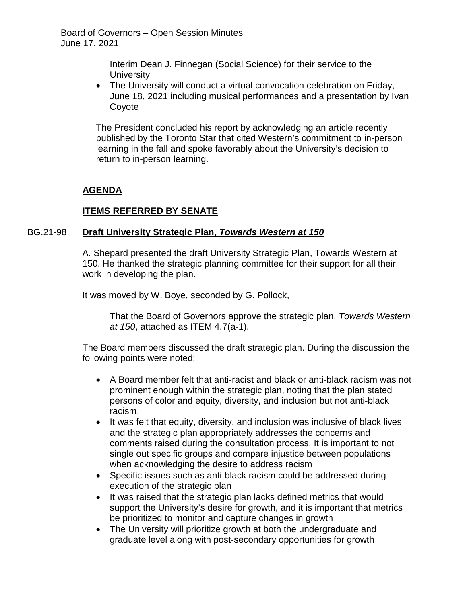Interim Dean J. Finnegan (Social Science) for their service to the **University** 

• The University will conduct a virtual convocation celebration on Friday, June 18, 2021 including musical performances and a presentation by Ivan Coyote

The President concluded his report by acknowledging an article recently published by the Toronto Star that cited Western's commitment to in-person learning in the fall and spoke favorably about the University's decision to return to in-person learning.

# **AGENDA**

# **ITEMS REFERRED BY SENATE**

# BG.21-98 **Draft University Strategic Plan,** *Towards Western at 150*

A. Shepard presented the draft University Strategic Plan, Towards Western at 150. He thanked the strategic planning committee for their support for all their work in developing the plan.

It was moved by W. Boye, seconded by G. Pollock,

That the Board of Governors approve the strategic plan, *Towards Western at 150*, attached as ITEM 4.7(a-1).

The Board members discussed the draft strategic plan. During the discussion the following points were noted:

- A Board member felt that anti-racist and black or anti-black racism was not prominent enough within the strategic plan, noting that the plan stated persons of color and equity, diversity, and inclusion but not anti-black racism.
- It was felt that equity, diversity, and inclusion was inclusive of black lives and the strategic plan appropriately addresses the concerns and comments raised during the consultation process. It is important to not single out specific groups and compare injustice between populations when acknowledging the desire to address racism
- Specific issues such as anti-black racism could be addressed during execution of the strategic plan
- It was raised that the strategic plan lacks defined metrics that would support the University's desire for growth, and it is important that metrics be prioritized to monitor and capture changes in growth
- The University will prioritize growth at both the undergraduate and graduate level along with post-secondary opportunities for growth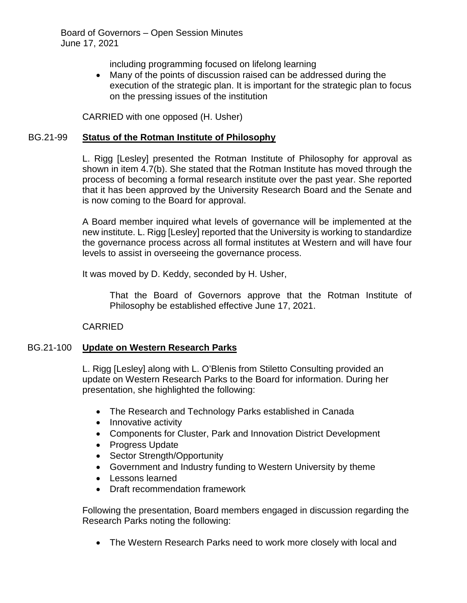including programming focused on lifelong learning

• Many of the points of discussion raised can be addressed during the execution of the strategic plan. It is important for the strategic plan to focus on the pressing issues of the institution

CARRIED with one opposed (H. Usher)

## BG.21-99 **Status of the Rotman Institute of Philosophy**

L. Rigg [Lesley] presented the Rotman Institute of Philosophy for approval as shown in item 4.7(b). She stated that the Rotman Institute has moved through the process of becoming a formal research institute over the past year. She reported that it has been approved by the University Research Board and the Senate and is now coming to the Board for approval.

A Board member inquired what levels of governance will be implemented at the new institute. L. Rigg [Lesley] reported that the University is working to standardize the governance process across all formal institutes at Western and will have four levels to assist in overseeing the governance process.

It was moved by D. Keddy, seconded by H. Usher,

That the Board of Governors approve that the Rotman Institute of Philosophy be established effective June 17, 2021.

CARRIED

## BG.21-100 **Update on Western Research Parks**

L. Rigg [Lesley] along with L. O'Blenis from Stiletto Consulting provided an update on Western Research Parks to the Board for information. During her presentation, she highlighted the following:

- The Research and Technology Parks established in Canada
- Innovative activity
- Components for Cluster, Park and Innovation District Development
- Progress Update
- Sector Strength/Opportunity
- Government and Industry funding to Western University by theme
- Lessons learned
- Draft recommendation framework

Following the presentation, Board members engaged in discussion regarding the Research Parks noting the following:

• The Western Research Parks need to work more closely with local and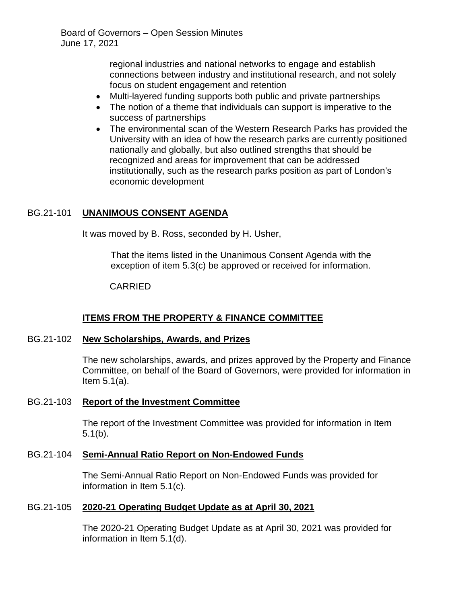regional industries and national networks to engage and establish connections between industry and institutional research, and not solely focus on student engagement and retention

- Multi-layered funding supports both public and private partnerships
- The notion of a theme that individuals can support is imperative to the success of partnerships
- The environmental scan of the Western Research Parks has provided the University with an idea of how the research parks are currently positioned nationally and globally, but also outlined strengths that should be recognized and areas for improvement that can be addressed institutionally, such as the research parks position as part of London's economic development

## BG.21-101 **UNANIMOUS CONSENT AGENDA**

It was moved by B. Ross, seconded by H. Usher,

That the items listed in the Unanimous Consent Agenda with the exception of item 5.3(c) be approved or received for information.

#### CARRIED

# **ITEMS FROM THE PROPERTY & FINANCE COMMITTEE**

#### BG.21-102 **New Scholarships, Awards, and Prizes**

The new scholarships, awards, and prizes approved by the Property and Finance Committee, on behalf of the Board of Governors, were provided for information in Item 5.1(a).

#### BG.21-103 **Report of the Investment Committee**

The report of the Investment Committee was provided for information in Item 5.1(b).

#### BG.21-104 **Semi-Annual Ratio Report on Non-Endowed Funds**

The Semi-Annual Ratio Report on Non-Endowed Funds was provided for information in Item 5.1(c).

## BG.21-105 **2020-21 Operating Budget Update as at April 30, 2021**

The 2020-21 Operating Budget Update as at April 30, 2021 was provided for information in Item 5.1(d).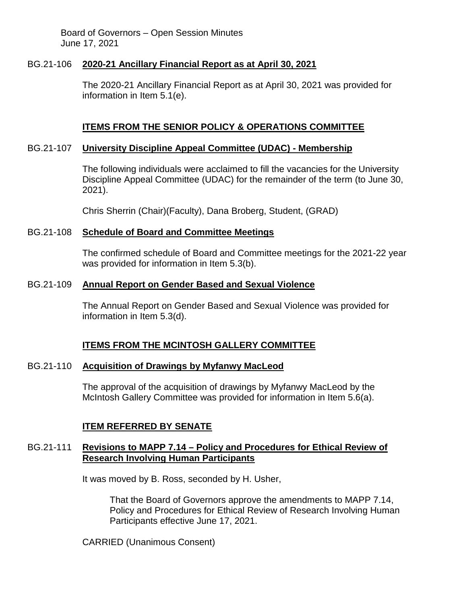## BG.21-106 **2020-21 Ancillary Financial Report as at April 30, 2021**

The 2020-21 Ancillary Financial Report as at April 30, 2021 was provided for information in Item 5.1(e).

## **ITEMS FROM THE SENIOR POLICY & OPERATIONS COMMITTEE**

#### BG.21-107 **University Discipline Appeal Committee (UDAC) - Membership**

The following individuals were acclaimed to fill the vacancies for the University Discipline Appeal Committee (UDAC) for the remainder of the term (to June 30, 2021).

Chris Sherrin (Chair)(Faculty), Dana Broberg, Student, (GRAD)

#### BG.21-108 **Schedule of Board and Committee Meetings**

The confirmed schedule of Board and Committee meetings for the 2021-22 year was provided for information in Item 5.3(b).

#### BG.21-109 **Annual Report on Gender Based and Sexual Violence**

The Annual Report on Gender Based and Sexual Violence was provided for information in Item 5.3(d).

## **ITEMS FROM THE MCINTOSH GALLERY COMMITTEE**

#### BG.21-110 **Acquisition of Drawings by Myfanwy MacLeod**

The approval of the acquisition of drawings by Myfanwy MacLeod by the McIntosh Gallery Committee was provided for information in Item 5.6(a).

## **ITEM REFERRED BY SENATE**

# BG.21-111 **Revisions to MAPP 7.14 – Policy and Procedures for Ethical Review of Research Involving Human Participants**

It was moved by B. Ross, seconded by H. Usher,

That the Board of Governors approve the amendments to MAPP 7.14, Policy and Procedures for Ethical Review of Research Involving Human Participants effective June 17, 2021.

CARRIED (Unanimous Consent)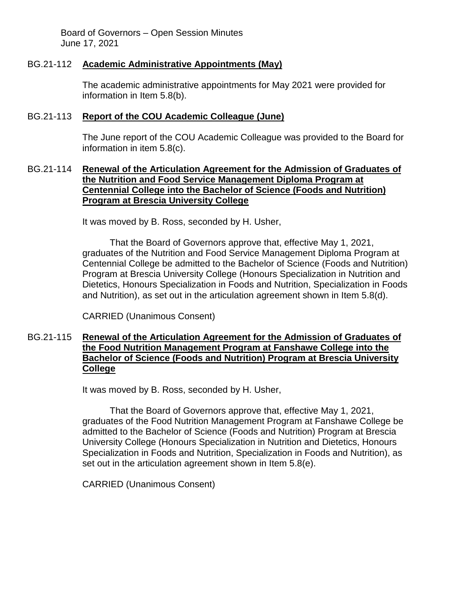## BG.21-112 **Academic Administrative Appointments (May)**

The academic administrative appointments for May 2021 were provided for information in Item 5.8(b).

#### BG.21-113 **Report of the COU Academic Colleague (June)**

The June report of the COU Academic Colleague was provided to the Board for information in item 5.8(c).

## BG.21-114 **Renewal of the Articulation Agreement for the Admission of Graduates of the Nutrition and Food Service Management Diploma Program at Centennial College into the Bachelor of Science (Foods and Nutrition) Program at Brescia University College**

It was moved by B. Ross, seconded by H. Usher,

That the Board of Governors approve that, effective May 1, 2021, graduates of the Nutrition and Food Service Management Diploma Program at Centennial College be admitted to the Bachelor of Science (Foods and Nutrition) Program at Brescia University College (Honours Specialization in Nutrition and Dietetics, Honours Specialization in Foods and Nutrition, Specialization in Foods and Nutrition), as set out in the articulation agreement shown in Item 5.8(d).

CARRIED (Unanimous Consent)

#### BG.21-115 **Renewal of the Articulation Agreement for the Admission of Graduates of the Food Nutrition Management Program at Fanshawe College into the Bachelor of Science (Foods and Nutrition) Program at Brescia University College**

It was moved by B. Ross, seconded by H. Usher,

That the Board of Governors approve that, effective May 1, 2021, graduates of the Food Nutrition Management Program at Fanshawe College be admitted to the Bachelor of Science (Foods and Nutrition) Program at Brescia University College (Honours Specialization in Nutrition and Dietetics, Honours Specialization in Foods and Nutrition, Specialization in Foods and Nutrition), as set out in the articulation agreement shown in Item 5.8(e).

CARRIED (Unanimous Consent)